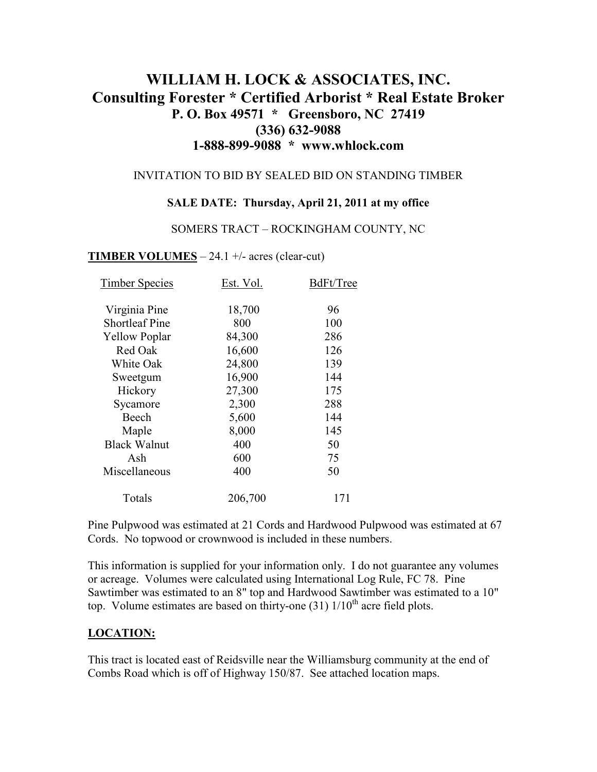# **WILLIAM H. LOCK & ASSOCIATES, INC. Consulting Forester \* Certified Arborist \* Real Estate Broker P. O. Box 49571 \* Greensboro, NC 27419 (336) 632-9088 1-888-899-9088 \* www.whlock.com**

### INVITATION TO BID BY SEALED BID ON STANDING TIMBER

#### **SALE DATE: Thursday, April 21, 2011 at my office**

#### SOMERS TRACT – ROCKINGHAM COUNTY, NC

#### **TIMBER VOLUMES** – 24.1 +/- acres (clear-cut)

| <b>Timber Species</b> | Est. Vol. | BdFt/Tree |
|-----------------------|-----------|-----------|
| Virginia Pine         | 18,700    | 96        |
| <b>Shortleaf Pine</b> | 800       | 100       |
| <b>Yellow Poplar</b>  | 84,300    | 286       |
| Red Oak               | 16,600    | 126       |
| White Oak             | 24,800    | 139       |
| Sweetgum              | 16,900    | 144       |
| Hickory               | 27,300    | 175       |
| Sycamore              | 2,300     | 288       |
| Beech                 | 5,600     | 144       |
| Maple                 | 8,000     | 145       |
| <b>Black Walnut</b>   | 400       | 50        |
| Ash                   | 600       | 75        |
| Miscellaneous         | 400       | 50        |
| Totals                | 206,700   | 171       |

Pine Pulpwood was estimated at 21 Cords and Hardwood Pulpwood was estimated at 67 Cords. No topwood or crownwood is included in these numbers.

This information is supplied for your information only. I do not guarantee any volumes or acreage. Volumes were calculated using International Log Rule, FC 78. Pine Sawtimber was estimated to an 8" top and Hardwood Sawtimber was estimated to a 10" top. Volume estimates are based on thirty-one  $(31)$   $1/10<sup>th</sup>$  acre field plots.

### **LOCATION:**

This tract is located east of Reidsville near the Williamsburg community at the end of Combs Road which is off of Highway 150/87. See attached location maps.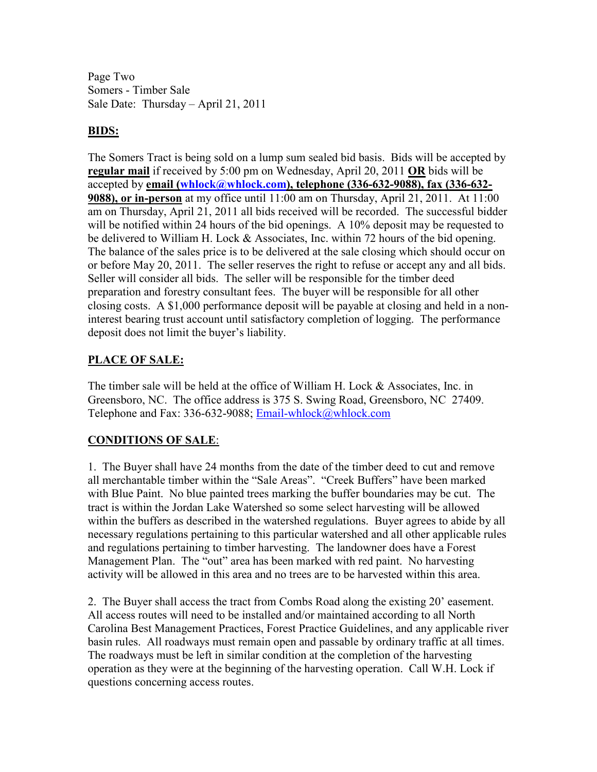Page Two Somers - Timber Sale Sale Date: Thursday – April 21, 2011

### **BIDS:**

The Somers Tract is being sold on a lump sum sealed bid basis. Bids will be accepted by **regular mail** if received by 5:00 pm on Wednesday, April 20, 2011 **OR** bids will be accepted by **email (whlock@whlock.com), telephone (336-632-9088), fax (336-632- 9088), or in-person** at my office until 11:00 am on Thursday, April 21, 2011. At 11:00 am on Thursday, April 21, 2011 all bids received will be recorded. The successful bidder will be notified within 24 hours of the bid openings. A 10% deposit may be requested to be delivered to William H. Lock & Associates, Inc. within 72 hours of the bid opening. The balance of the sales price is to be delivered at the sale closing which should occur on or before May 20, 2011. The seller reserves the right to refuse or accept any and all bids. Seller will consider all bids. The seller will be responsible for the timber deed preparation and forestry consultant fees. The buyer will be responsible for all other closing costs. A \$1,000 performance deposit will be payable at closing and held in a noninterest bearing trust account until satisfactory completion of logging. The performance deposit does not limit the buyer's liability.

## **PLACE OF SALE:**

The timber sale will be held at the office of William H. Lock & Associates, Inc. in Greensboro, NC. The office address is 375 S. Swing Road, Greensboro, NC 27409. Telephone and Fax: 336-632-9088; Email-whlock@whlock.com

# **CONDITIONS OF SALE**:

1. The Buyer shall have 24 months from the date of the timber deed to cut and remove all merchantable timber within the "Sale Areas". "Creek Buffers" have been marked with Blue Paint. No blue painted trees marking the buffer boundaries may be cut. The tract is within the Jordan Lake Watershed so some select harvesting will be allowed within the buffers as described in the watershed regulations. Buyer agrees to abide by all necessary regulations pertaining to this particular watershed and all other applicable rules and regulations pertaining to timber harvesting. The landowner does have a Forest Management Plan. The "out" area has been marked with red paint. No harvesting activity will be allowed in this area and no trees are to be harvested within this area.

2. The Buyer shall access the tract from Combs Road along the existing 20' easement. All access routes will need to be installed and/or maintained according to all North Carolina Best Management Practices, Forest Practice Guidelines, and any applicable river basin rules. All roadways must remain open and passable by ordinary traffic at all times. The roadways must be left in similar condition at the completion of the harvesting operation as they were at the beginning of the harvesting operation. Call W.H. Lock if questions concerning access routes.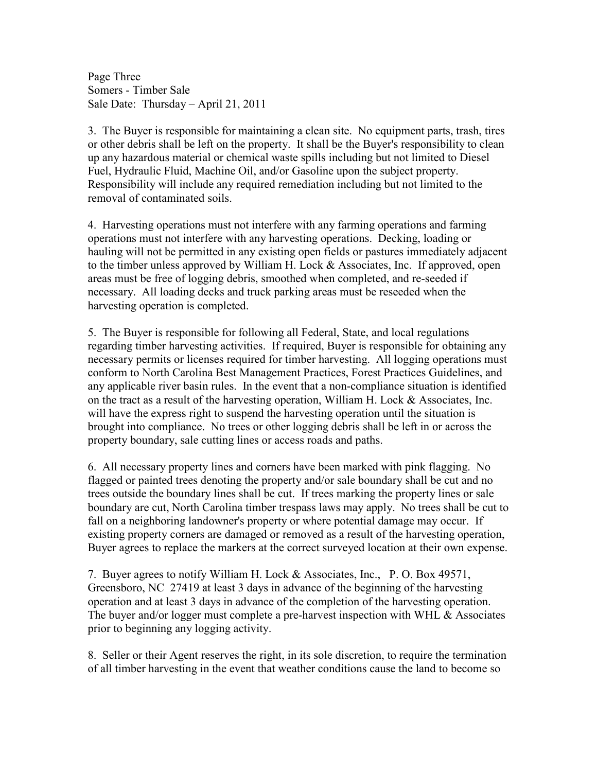Page Three Somers - Timber Sale Sale Date: Thursday – April 21, 2011

3. The Buyer is responsible for maintaining a clean site. No equipment parts, trash, tires or other debris shall be left on the property. It shall be the Buyer's responsibility to clean up any hazardous material or chemical waste spills including but not limited to Diesel Fuel, Hydraulic Fluid, Machine Oil, and/or Gasoline upon the subject property. Responsibility will include any required remediation including but not limited to the removal of contaminated soils.

4. Harvesting operations must not interfere with any farming operations and farming operations must not interfere with any harvesting operations. Decking, loading or hauling will not be permitted in any existing open fields or pastures immediately adjacent to the timber unless approved by William H. Lock & Associates, Inc. If approved, open areas must be free of logging debris, smoothed when completed, and re-seeded if necessary. All loading decks and truck parking areas must be reseeded when the harvesting operation is completed.

5. The Buyer is responsible for following all Federal, State, and local regulations regarding timber harvesting activities. If required, Buyer is responsible for obtaining any necessary permits or licenses required for timber harvesting. All logging operations must conform to North Carolina Best Management Practices, Forest Practices Guidelines, and any applicable river basin rules. In the event that a non-compliance situation is identified on the tract as a result of the harvesting operation, William H. Lock  $\&$  Associates, Inc. will have the express right to suspend the harvesting operation until the situation is brought into compliance. No trees or other logging debris shall be left in or across the property boundary, sale cutting lines or access roads and paths.

6. All necessary property lines and corners have been marked with pink flagging. No flagged or painted trees denoting the property and/or sale boundary shall be cut and no trees outside the boundary lines shall be cut. If trees marking the property lines or sale boundary are cut, North Carolina timber trespass laws may apply. No trees shall be cut to fall on a neighboring landowner's property or where potential damage may occur. If existing property corners are damaged or removed as a result of the harvesting operation, Buyer agrees to replace the markers at the correct surveyed location at their own expense.

7. Buyer agrees to notify William H. Lock & Associates, Inc., P. O. Box 49571, Greensboro, NC 27419 at least 3 days in advance of the beginning of the harvesting operation and at least 3 days in advance of the completion of the harvesting operation. The buyer and/or logger must complete a pre-harvest inspection with WHL & Associates prior to beginning any logging activity.

8. Seller or their Agent reserves the right, in its sole discretion, to require the termination of all timber harvesting in the event that weather conditions cause the land to become so